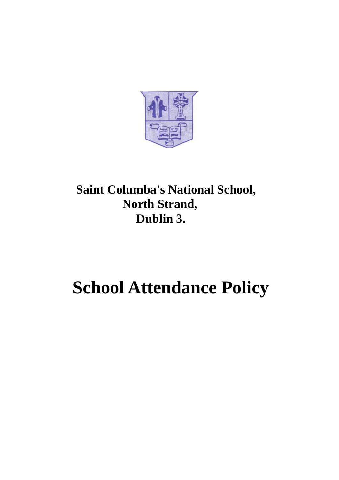

## **Saint Columba's National School, North Strand, Dublin 3.**

# **School Attendance Policy**